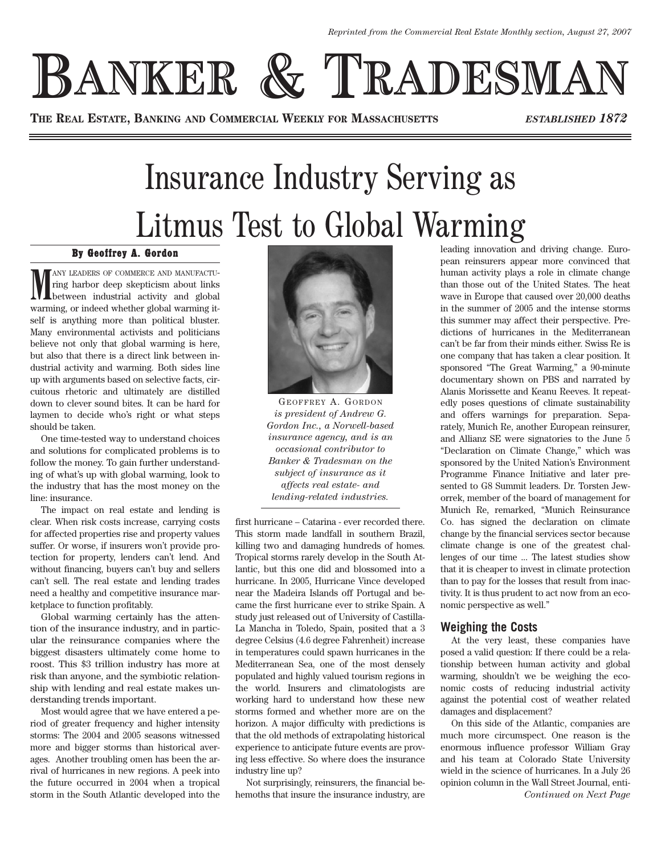**BANKER & TRADESMA** 

**THE REAL ESTATE, BANKING AND COMMERCIAL WEEKLY FOR MASSACHUSETTS** *ESTABLISHED 1872*

## Insurance Industry Serving as Litmus Test to Global Warming

## By Geoffrey A. Gordon

**MEXANY LEADERS OF COMMERCE AND MANUFACTU-**<br>
ring harbor deep skepticism about links<br>
warming, or indeed whether global warming it-ANY LEADERS OF COMMERCE AND MANUFACTUring harbor deep skepticism about links **L** between industrial activity and global self is anything more than political bluster. Many environmental activists and politicians believe not only that global warming is here, but also that there is a direct link between industrial activity and warming. Both sides line up with arguments based on selective facts, circuitous rhetoric and ultimately are distilled down to clever sound bites. It can be hard for laymen to decide who's right or what steps should be taken.

One time-tested way to understand choices and solutions for complicated problems is to follow the money. To gain further understanding of what's up with global warming, look to the industry that has the most money on the line: insurance.

The impact on real estate and lending is clear. When risk costs increase, carrying costs for affected properties rise and property values suffer. Or worse, if insurers won't provide protection for property, lenders can't lend. And without financing, buyers can't buy and sellers can't sell. The real estate and lending trades need a healthy and competitive insurance marketplace to function profitably.

Global warming certainly has the attention of the insurance industry, and in particular the reinsurance companies where the biggest disasters ultimately come home to roost. This \$3 trillion industry has more at risk than anyone, and the symbiotic relationship with lending and real estate makes understanding trends important.

Most would agree that we have entered a period of greater frequency and higher intensity storms: The 2004 and 2005 seasons witnessed more and bigger storms than historical averages. Another troubling omen has been the arrival of hurricanes in new regions. A peek into the future occurred in 2004 when a tropical storm in the South Atlantic developed into the



GEOFFREY A. GORDON *is president of Andrew G. Gordon Inc., a Norwell-based insurance agency, and is an occasional contributor to Banker & Tradesman on the subject of insurance as it affects real estate- and lending-related industries.*

first hurricane – Catarina - ever recorded there. This storm made landfall in southern Brazil, killing two and damaging hundreds of homes. Tropical storms rarely develop in the South Atlantic, but this one did and blossomed into a hurricane. In 2005, Hurricane Vince developed near the Madeira Islands off Portugal and became the first hurricane ever to strike Spain. A study just released out of University of Castilla-La Mancha in Toledo, Spain, posited that a 3 degree Celsius (4.6 degree Fahrenheit) increase in temperatures could spawn hurricanes in the Mediterranean Sea, one of the most densely populated and highly valued tourism regions in the world. Insurers and climatologists are working hard to understand how these new storms formed and whether more are on the horizon. A major difficulty with predictions is that the old methods of extrapolating historical experience to anticipate future events are proving less effective. So where does the insurance industry line up?

Not surprisingly, reinsurers, the financial behemoths that insure the insurance industry, are leading innovation and driving change. European reinsurers appear more convinced that human activity plays a role in climate change than those out of the United States. The heat wave in Europe that caused over 20,000 deaths in the summer of 2005 and the intense storms this summer may affect their perspective. Predictions of hurricanes in the Mediterranean can't be far from their minds either. Swiss Re is one company that has taken a clear position. It sponsored "The Great Warming," a 90-minute documentary shown on PBS and narrated by Alanis Morissette and Keanu Reeves. It repeatedly poses questions of climate sustainability and offers warnings for preparation. Separately, Munich Re, another European reinsurer, and Allianz SE were signatories to the June 5 "Declaration on Climate Change," which was sponsored by the United Nation's Environment Programme Finance Initiative and later presented to G8 Summit leaders. Dr. Torsten Jeworrek, member of the board of management for Munich Re, remarked, "Munich Reinsurance Co. has signed the declaration on climate change by the financial services sector because climate change is one of the greatest challenges of our time ... The latest studies show that it is cheaper to invest in climate protection than to pay for the losses that result from inactivity. It is thus prudent to act now from an economic perspective as well."

## **Weighing the Costs**

At the very least, these companies have posed a valid question: If there could be a relationship between human activity and global warming, shouldn't we be weighing the economic costs of reducing industrial activity against the potential cost of weather related damages and displacement?

On this side of the Atlantic, companies are much more circumspect. One reason is the enormous influence professor William Gray and his team at Colorado State University wield in the science of hurricanes. In a July 26 opinion column in the Wall Street Journal, enti-*Continued on Next Page*